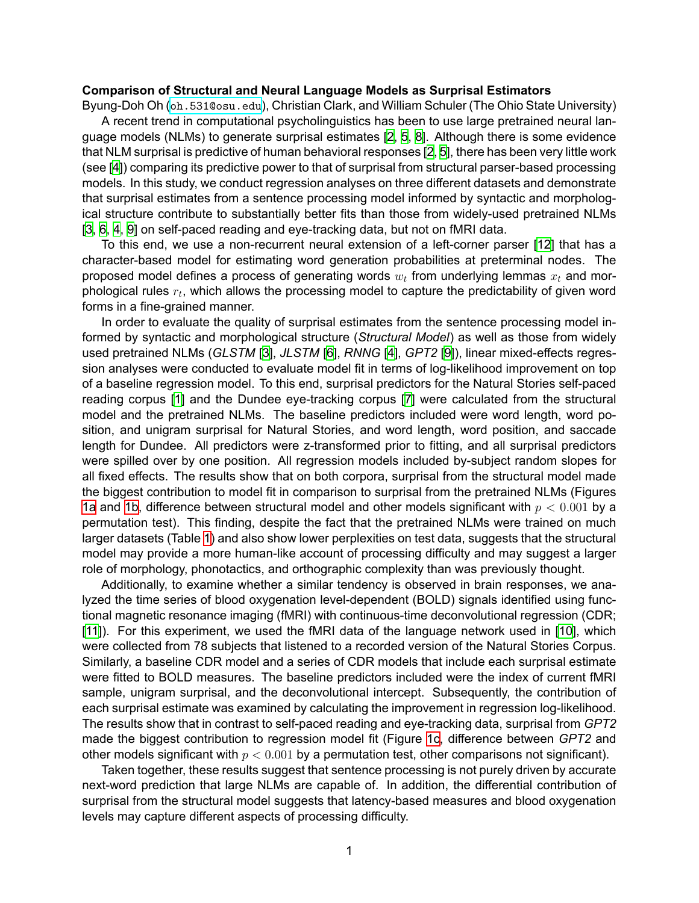## **Comparison of Structural and Neural Language Models as Surprisal Estimators**

Byung-Doh Oh (oh. 531@osu.edu), Christian Clark, and William Schuler (The Ohio State University) A recent trend in computational psycholinguistics has been to use large pretrained neural lan-

guage models (NLMs) to generate surprisal estimates [2, 5, 8]. Although there is some evidence that NLM surprisal is predictive of human behavioral responses [2, 5], there has been very little work (see [4]) comparing its predictive power to that of surprisal from structural parser-based processing models. In this study, we conduct regression analyses on three different datasets and demonstrate that surprisal estimates from a sentence processing model informed by syntactic and morphological structure contribute to substantially better fits than those from widely-used pretrained NLMs [3, 6, 4, 9] on self-paced reading and eye-tracking data, but not on fMRI data.

To this end, we use a non-recurrent neural extension of a left-corner parser [12] that has a character-based model for estimating word generation probabilities at preterminal nodes. The proposed model defines a process of generating words *w<sup>t</sup>* from underlying lemmas *x<sup>t</sup>* and morphological rules  $r_t$ , which allows the processing model to capture the predictability of given word forms in a fine-grained manner.

In order to evaluate the quality of surprisal estimates from the sentence processing model informed by syntactic and morphological structure (*Structural Model*) as well as those from widely used pretrained NLMs (*GLSTM* [3], *JLSTM* [6], *RNNG* [4], *GPT2* [9]), linear mixed-effects regression analyses were conducted to evaluate model fit in terms of log-likelihood improvement on top of a baseline regression model. To this end, surprisal predictors for the Natural Stories self-paced reading corpus [1] and the Dundee eye-tracking corpus [7] were calculated from the structural model and the pretrained NLMs. The baseline predictors included were word length, word position, and unigram surprisal for Natural Stories, and word length, word position, and saccade length for Dundee. All predictors were z-transformed prior to fitting, and all surprisal predictors were spilled over by one position. All regression models included by-subject random slopes for all fixed effects. The results show that on both corpora, surprisal from the structural model made the biggest contribution to model fit in comparison to surprisal from the pretrained NLMs (Figures 1a and 1b, difference between structural model and other models significant with *p <* 0*.*001 by a permutation test). This finding, despite the fact that the pretrained NLMs were trained on much larger datasets (Table 1) and also show lower perplexities on test data, suggests that the structural model may provide a more human-like account of processing difficulty and may suggest a larger role of morphology, phonotactics, and orthographic complexity than was previously thought.

Additionally, to examine whether a similar tendency is observed in brain responses, we analyzed the time series of blood oxygenation level-dependent (BOLD) signals identified using functional magnetic resonance imaging (fMRI) with continuous-time deconvolutional regression (CDR; [11]). For this experiment, we used the fMRI data of the language network used in [10], which were collected from 78 subjects that listened to a recorded version of the Natural Stories Corpus. Similarly, a baseline CDR model and a series of CDR models that include each surprisal estimate were fitted to BOLD measures. The baseline predictors included were the index of current fMRI sample, unigram surprisal, and the deconvolutional intercept. Subsequently, the contribution of each surprisal estimate was examined by calculating the improvement in regression log-likelihood. The results show that in contrast to self-paced reading and eye-tracking data, surprisal from *GPT2* made the biggest contribution to regression model fit (Figure 1c, difference between *GPT2* and other models significant with *p <* 0*.*001 by a permutation test, other comparisons not significant).

Taken together, these results suggest that sentence processing is not purely driven by accurate next-word prediction that large NLMs are capable of. In addition, the differential contribution of surprisal from the structural model suggests that latency-based measures and blood oxygenation levels may capture different aspects of processing difficulty.